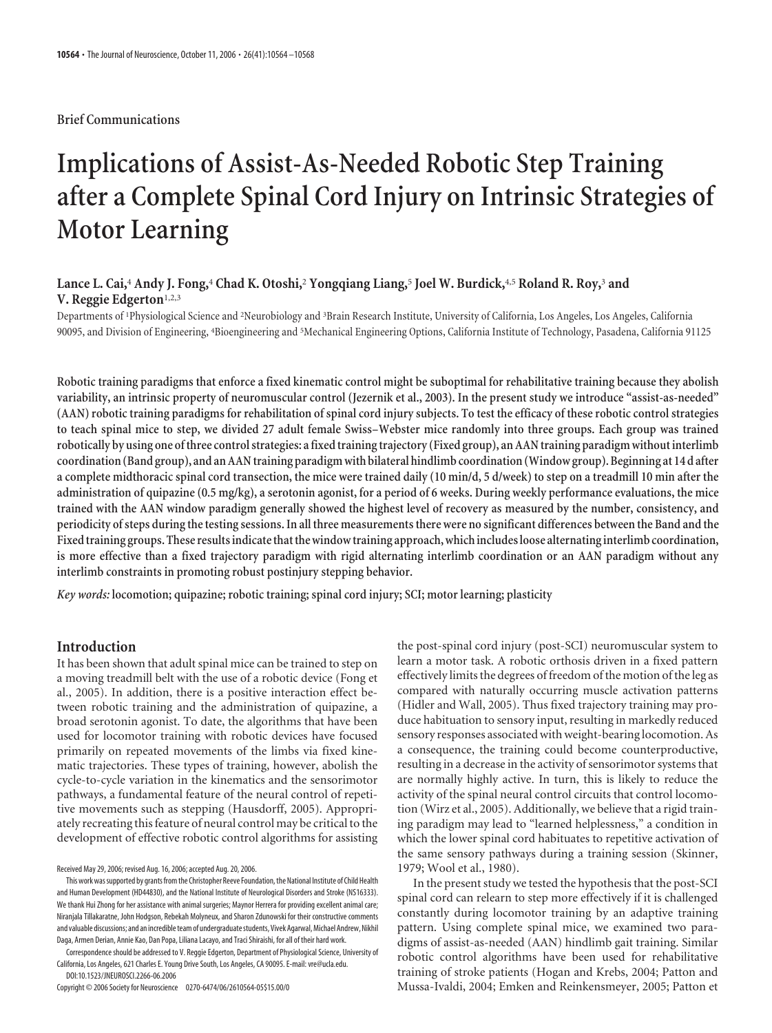# **Brief Communications**

# **Implications of Assist-As-Needed Robotic Step Training after a Complete Spinal Cord Injury on Intrinsic Strategies of Motor Learning**

# **Lance L. Cai,**<sup>4</sup> **Andy J. Fong,**<sup>4</sup> **Chad K. Otoshi,**<sup>2</sup> **Yongqiang Liang,**<sup>5</sup> **Joel W. Burdick,**4,5 **Roland R. Roy,**<sup>3</sup> **and V. Reggie Edgerton**1,2,3

Departments of <sup>1</sup>Physiological Science and <sup>2</sup>Neurobiology and <sup>3</sup>Brain Research Institute, University of California, Los Angeles, Los Angeles, California 90095, and Division of Engineering, <sup>4</sup>Bioengineering and <sup>5</sup>Mechanical Engineering Options, California Institute of Technology, Pasadena, California 91125

**Robotic training paradigms that enforce a fixed kinematic control might be suboptimal for rehabilitative training because they abolish variability, an intrinsic property of neuromuscular control (Jezernik et al., 2003). In the present study we introduce "assist-as-needed" (AAN) robotic training paradigms for rehabilitation of spinal cord injury subjects. To test the efficacy of these robotic control strategies to teach spinal mice to step, we divided 27 adult female Swiss–Webster mice randomly into three groups. Each group was trained robotically by using one ofthree control strategies: afixedtrainingtrajectory (Fixed group), an AANtraining paradigm without interlimb coordination (Band group), and an AANtraining paradigm with bilateral hindlimb coordination (Window group). Beginning at 14 d after a complete midthoracic spinal cord transection, the mice were trained daily (10 min/d, 5 d/week) to step on a treadmill 10 min after the administration of quipazine (0.5 mg/kg), a serotonin agonist, for a period of 6 weeks. During weekly performance evaluations, the mice trained with the AAN window paradigm generally showed the highest level of recovery as measured by the number, consistency, and periodicity of steps during the testing sessions. In all three measurements there were no significant differences between the Band and the** Fixed training groups. These results indicate that the window training approach, which includes loose alternating interlimb coordination, **is more effective than a fixed trajectory paradigm with rigid alternating interlimb coordination or an AAN paradigm without any interlimb constraints in promoting robust postinjury stepping behavior.**

*Key words:* **locomotion; quipazine; robotic training; spinal cord injury; SCI; motor learning; plasticity**

# **Introduction**

It has been shown that adult spinal mice can be trained to step on a moving treadmill belt with the use of a robotic device (Fong et al., 2005). In addition, there is a positive interaction effect between robotic training and the administration of quipazine, a broad serotonin agonist. To date, the algorithms that have been used for locomotor training with robotic devices have focused primarily on repeated movements of the limbs via fixed kinematic trajectories. These types of training, however, abolish the cycle-to-cycle variation in the kinematics and the sensorimotor pathways, a fundamental feature of the neural control of repetitive movements such as stepping (Hausdorff, 2005). Appropriately recreating this feature of neural control may be critical to the development of effective robotic control algorithms for assisting

Received May 29, 2006; revised Aug. 16, 2006; accepted Aug. 20, 2006.

This work was supported by grants from the Christopher Reeve Foundation, the National Institute of Child Health and Human Development (HD44830), and the National Institute of Neurological Disorders and Stroke (NS16333). We thank Hui Zhong for her assistance with animal surgeries; Maynor Herrera for providing excellent animal care; Niranjala Tillakaratne, John Hodgson, Rebekah Molyneux, and Sharon Zdunowski for their constructive comments and valuable discussions; and an incredible team of undergraduate students, Vivek Agarwal, Michael Andrew, Nikhil Daga, Armen Derian, Annie Kao, Dan Popa, Liliana Lacayo, and Traci Shiraishi, for all of their hard work.

Correspondence should be addressed to V. Reggie Edgerton, Department of Physiological Science, University of California, Los Angeles, 621 Charles E. Young Drive South, Los Angeles, CA 90095. E-mail: vre@ucla.edu. DOI:10.1523/JNEUROSCI.2266-06.2006

Copyright © 2006 Society for Neuroscience 0270-6474/06/2610564-05\$15.00/0

the post-spinal cord injury (post-SCI) neuromuscular system to learn a motor task. A robotic orthosis driven in a fixed pattern effectively limits the degrees of freedom of the motion of the leg as compared with naturally occurring muscle activation patterns (Hidler and Wall, 2005). Thus fixed trajectory training may produce habituation to sensory input, resulting in markedly reduced sensory responses associated with weight-bearing locomotion. As a consequence, the training could become counterproductive, resulting in a decrease in the activity of sensorimotor systems that are normally highly active. In turn, this is likely to reduce the activity of the spinal neural control circuits that control locomotion (Wirz et al., 2005). Additionally, we believe that a rigid training paradigm may lead to "learned helplessness," a condition in which the lower spinal cord habituates to repetitive activation of the same sensory pathways during a training session (Skinner, 1979; Wool et al., 1980).

In the present study we tested the hypothesis that the post-SCI spinal cord can relearn to step more effectively if it is challenged constantly during locomotor training by an adaptive training pattern. Using complete spinal mice, we examined two paradigms of assist-as-needed (AAN) hindlimb gait training. Similar robotic control algorithms have been used for rehabilitative training of stroke patients (Hogan and Krebs, 2004; Patton and Mussa-Ivaldi, 2004; Emken and Reinkensmeyer, 2005; Patton et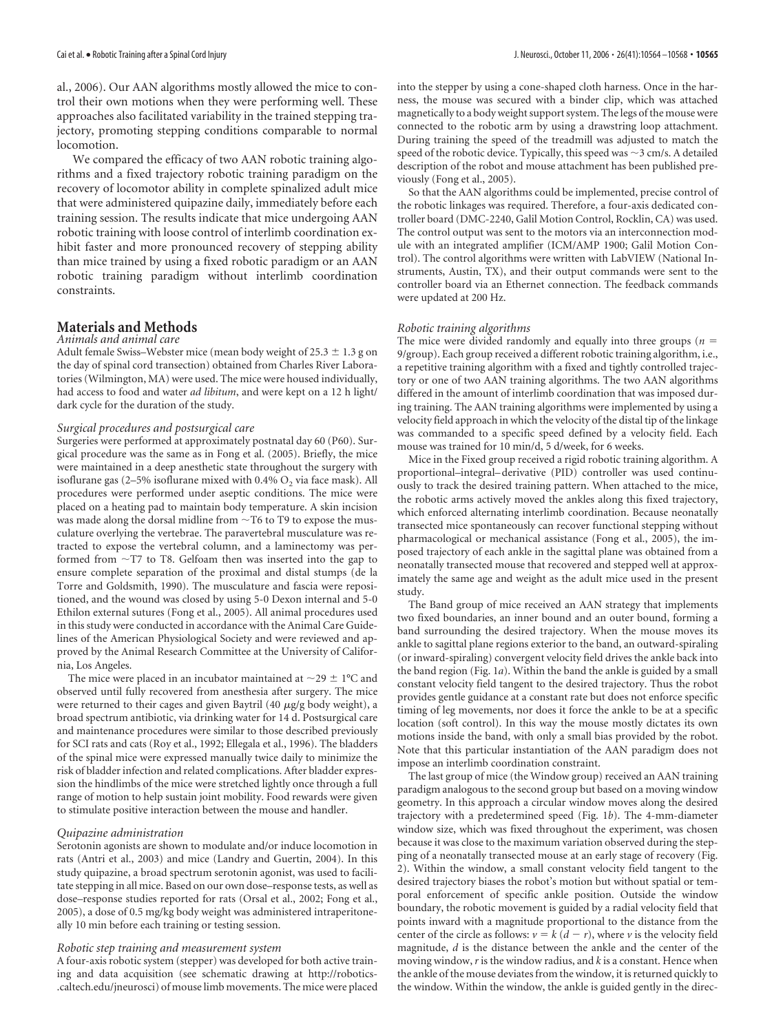al., 2006). Our AAN algorithms mostly allowed the mice to control their own motions when they were performing well. These approaches also facilitated variability in the trained stepping trajectory, promoting stepping conditions comparable to normal locomotion.

We compared the efficacy of two AAN robotic training algorithms and a fixed trajectory robotic training paradigm on the recovery of locomotor ability in complete spinalized adult mice that were administered quipazine daily, immediately before each training session. The results indicate that mice undergoing AAN robotic training with loose control of interlimb coordination exhibit faster and more pronounced recovery of stepping ability than mice trained by using a fixed robotic paradigm or an AAN robotic training paradigm without interlimb coordination constraints.

# **Materials and Methods**

## *Animals and animal care*

Adult female Swiss–Webster mice (mean body weight of  $25.3 \pm 1.3$  g on the day of spinal cord transection) obtained from Charles River Laboratories (Wilmington, MA) were used. The mice were housed individually, had access to food and water *ad libitum*, and were kept on a 12 h light/ dark cycle for the duration of the study.

## *Surgical procedures and postsurgical care*

Surgeries were performed at approximately postnatal day 60 (P60). Surgical procedure was the same as in Fong et al. (2005). Briefly, the mice were maintained in a deep anesthetic state throughout the surgery with isoflurane gas (2-5% isoflurane mixed with  $0.4\%$  O<sub>2</sub> via face mask). All procedures were performed under aseptic conditions. The mice were placed on a heating pad to maintain body temperature. A skin incision was made along the dorsal midline from  $\sim$  T6 to T9 to expose the musculature overlying the vertebrae. The paravertebral musculature was retracted to expose the vertebral column, and a laminectomy was performed from  $\sim$ T7 to T8. Gelfoam then was inserted into the gap to ensure complete separation of the proximal and distal stumps (de la Torre and Goldsmith, 1990). The musculature and fascia were repositioned, and the wound was closed by using 5-0 Dexon internal and 5-0 Ethilon external sutures (Fong et al., 2005). All animal procedures used in this study were conducted in accordance with the Animal Care Guidelines of the American Physiological Society and were reviewed and approved by the Animal Research Committee at the University of California, Los Angeles.

The mice were placed in an incubator maintained at  $\sim$ 29  $\pm$  1°C and observed until fully recovered from anesthesia after surgery. The mice were returned to their cages and given Baytril (40  $\mu$ g/g body weight), a broad spectrum antibiotic, via drinking water for 14 d. Postsurgical care and maintenance procedures were similar to those described previously for SCI rats and cats (Roy et al., 1992; Ellegala et al., 1996). The bladders of the spinal mice were expressed manually twice daily to minimize the risk of bladder infection and related complications. After bladder expression the hindlimbs of the mice were stretched lightly once through a full range of motion to help sustain joint mobility. Food rewards were given to stimulate positive interaction between the mouse and handler.

## *Quipazine administration*

Serotonin agonists are shown to modulate and/or induce locomotion in rats (Antri et al., 2003) and mice (Landry and Guertin, 2004). In this study quipazine, a broad spectrum serotonin agonist, was used to facilitate stepping in all mice. Based on our own dose–response tests, as well as dose–response studies reported for rats (Orsal et al., 2002; Fong et al., 2005), a dose of 0.5 mg/kg body weight was administered intraperitoneally 10 min before each training or testing session.

## *Robotic step training and measurement system*

A four-axis robotic system (stepper) was developed for both active training and data acquisition (see schematic drawing at http://robotics- .caltech.edu/jneurosci) of mouse limb movements. The mice were placed into the stepper by using a cone-shaped cloth harness. Once in the harness, the mouse was secured with a binder clip, which was attached magnetically to a body weight support system. The legs of the mouse were connected to the robotic arm by using a drawstring loop attachment. During training the speed of the treadmill was adjusted to match the speed of the robotic device. Typically, this speed was  $\sim$  3 cm/s. A detailed description of the robot and mouse attachment has been published previously (Fong et al., 2005).

So that the AAN algorithms could be implemented, precise control of the robotic linkages was required. Therefore, a four-axis dedicated controller board (DMC-2240, Galil Motion Control, Rocklin, CA) was used. The control output was sent to the motors via an interconnection module with an integrated amplifier (ICM/AMP 1900; Galil Motion Control). The control algorithms were written with LabVIEW (National Instruments, Austin, TX), and their output commands were sent to the controller board via an Ethernet connection. The feedback commands were updated at 200 Hz.

#### *Robotic training algorithms*

The mice were divided randomly and equally into three groups ( $n =$ 9/group). Each group received a different robotic training algorithm, i.e., a repetitive training algorithm with a fixed and tightly controlled trajectory or one of two AAN training algorithms. The two AAN algorithms differed in the amount of interlimb coordination that was imposed during training. The AAN training algorithms were implemented by using a velocity field approach in which the velocity of the distal tip of the linkage was commanded to a specific speed defined by a velocity field. Each mouse was trained for 10 min/d, 5 d/week, for 6 weeks.

Mice in the Fixed group received a rigid robotic training algorithm. A proportional–integral– derivative (PID) controller was used continuously to track the desired training pattern. When attached to the mice, the robotic arms actively moved the ankles along this fixed trajectory, which enforced alternating interlimb coordination. Because neonatally transected mice spontaneously can recover functional stepping without pharmacological or mechanical assistance (Fong et al., 2005), the imposed trajectory of each ankle in the sagittal plane was obtained from a neonatally transected mouse that recovered and stepped well at approximately the same age and weight as the adult mice used in the present study.

The Band group of mice received an AAN strategy that implements two fixed boundaries, an inner bound and an outer bound, forming a band surrounding the desired trajectory. When the mouse moves its ankle to sagittal plane regions exterior to the band, an outward-spiraling (or inward-spiraling) convergent velocity field drives the ankle back into the band region (Fig. 1*a*). Within the band the ankle is guided by a small constant velocity field tangent to the desired trajectory. Thus the robot provides gentle guidance at a constant rate but does not enforce specific timing of leg movements, nor does it force the ankle to be at a specific location (soft control). In this way the mouse mostly dictates its own motions inside the band, with only a small bias provided by the robot. Note that this particular instantiation of the AAN paradigm does not impose an interlimb coordination constraint.

The last group of mice (the Window group) received an AAN training paradigm analogous to the second group but based on a moving window geometry. In this approach a circular window moves along the desired trajectory with a predetermined speed (Fig. 1*b*). The 4-mm-diameter window size, which was fixed throughout the experiment, was chosen because it was close to the maximum variation observed during the stepping of a neonatally transected mouse at an early stage of recovery (Fig. 2). Within the window, a small constant velocity field tangent to the desired trajectory biases the robot's motion but without spatial or temporal enforcement of specific ankle position. Outside the window boundary, the robotic movement is guided by a radial velocity field that points inward with a magnitude proportional to the distance from the center of the circle as follows:  $v = k (d - r)$ , where *v* is the velocity field magnitude, *d* is the distance between the ankle and the center of the moving window, *r* is the window radius, and *k* is a constant. Hence when the ankle of the mouse deviates from the window, it is returned quickly to the window. Within the window, the ankle is guided gently in the direc-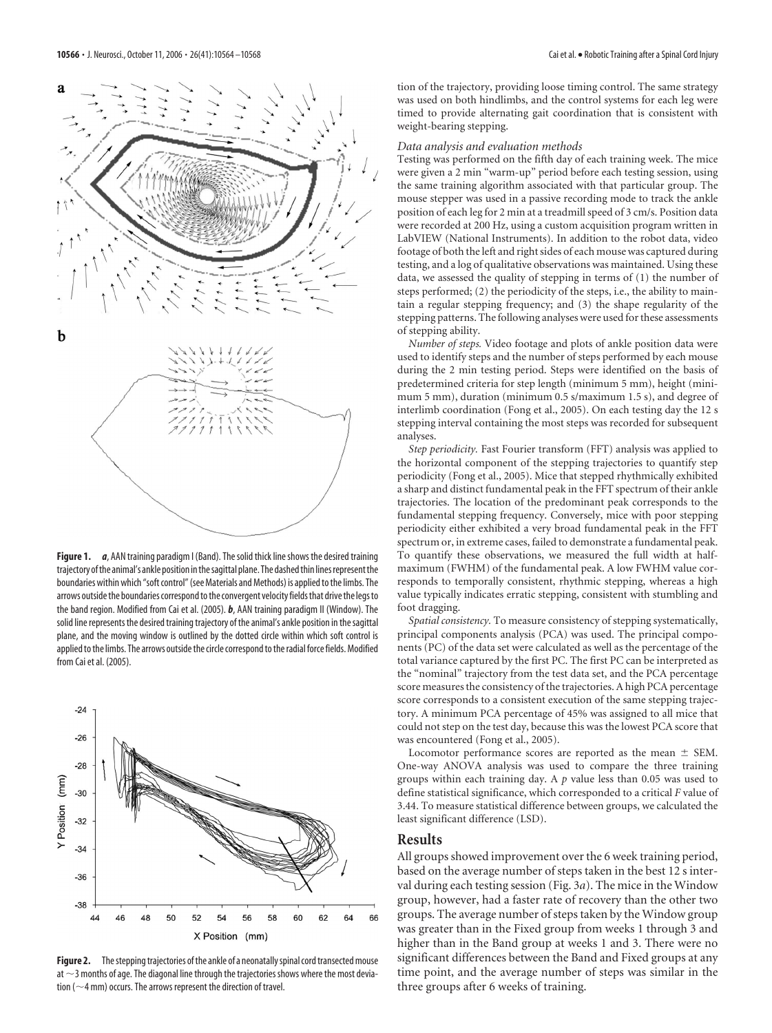

**Figure 1.** *a*, AAN training paradigm I (Band). The solid thick line shows the desired training trajectory ofthe animal's ankle position inthesagittal plane. The dashedthin linesrepresentthe boundaries within which "soft control" (see Materials and Methods) is applied to the limbs. The arrows outside the boundaries correspond to the convergent velocity fields that drive the legs to the band region. Modified from Cai et al. (2005). *b*, AAN training paradigm II (Window). The solid line represents the desired training trajectory of the animal's ankle position in the sagittal plane, and the moving window is outlined by the dotted circle within which soft control is applied to the limbs. The arrows outside the circle correspond to the radial force fields. Modified from Cai et al. (2005).



Figure 2. The stepping trajectories of the ankle of a neonatally spinal cord transected mouse at  $\sim$  3 months of age. The diagonal line through the trajectories shows where the most deviation (  $\sim$  4 mm) occurs. The arrows represent the direction of travel.

tion of the trajectory, providing loose timing control. The same strategy was used on both hindlimbs, and the control systems for each leg were timed to provide alternating gait coordination that is consistent with weight-bearing stepping.

#### *Data analysis and evaluation methods*

Testing was performed on the fifth day of each training week. The mice were given a 2 min "warm-up" period before each testing session, using the same training algorithm associated with that particular group. The mouse stepper was used in a passive recording mode to track the ankle position of each leg for 2 min at a treadmill speed of 3 cm/s. Position data were recorded at 200 Hz, using a custom acquisition program written in LabVIEW (National Instruments). In addition to the robot data, video footage of both the left and right sides of each mouse was captured during testing, and a log of qualitative observations was maintained. Using these data, we assessed the quality of stepping in terms of (1) the number of steps performed; (2) the periodicity of the steps, i.e., the ability to maintain a regular stepping frequency; and (3) the shape regularity of the stepping patterns. The following analyses were used for these assessments of stepping ability.

*Number of steps.* Video footage and plots of ankle position data were used to identify steps and the number of steps performed by each mouse during the 2 min testing period. Steps were identified on the basis of predetermined criteria for step length (minimum 5 mm), height (minimum 5 mm), duration (minimum 0.5 s/maximum 1.5 s), and degree of interlimb coordination (Fong et al., 2005). On each testing day the 12 s stepping interval containing the most steps was recorded for subsequent analyses.

*Step periodicity.* Fast Fourier transform (FFT) analysis was applied to the horizontal component of the stepping trajectories to quantify step periodicity (Fong et al., 2005). Mice that stepped rhythmically exhibited a sharp and distinct fundamental peak in the FFT spectrum of their ankle trajectories. The location of the predominant peak corresponds to the fundamental stepping frequency. Conversely, mice with poor stepping periodicity either exhibited a very broad fundamental peak in the FFT spectrum or, in extreme cases, failed to demonstrate a fundamental peak. To quantify these observations, we measured the full width at halfmaximum (FWHM) of the fundamental peak. A low FWHM value corresponds to temporally consistent, rhythmic stepping, whereas a high value typically indicates erratic stepping, consistent with stumbling and foot dragging.

*Spatial consistency.* To measure consistency of stepping systematically, principal components analysis (PCA) was used. The principal components (PC) of the data set were calculated as well as the percentage of the total variance captured by the first PC. The first PC can be interpreted as the "nominal" trajectory from the test data set, and the PCA percentage score measures the consistency of the trajectories. A high PCA percentage score corresponds to a consistent execution of the same stepping trajectory. A minimum PCA percentage of 45% was assigned to all mice that could not step on the test day, because this was the lowest PCA score that was encountered (Fong et al., 2005).

Locomotor performance scores are reported as the mean  $\pm$  SEM. One-way ANOVA analysis was used to compare the three training groups within each training day. A *p* value less than 0.05 was used to define statistical significance, which corresponded to a critical *F* value of 3.44. To measure statistical difference between groups, we calculated the least significant difference (LSD).

## **Results**

All groups showed improvement over the 6 week training period, based on the average number of steps taken in the best 12 s interval during each testing session (Fig. 3*a*). The mice in the Window group, however, had a faster rate of recovery than the other two groups. The average number of steps taken by the Window group was greater than in the Fixed group from weeks 1 through 3 and higher than in the Band group at weeks 1 and 3. There were no significant differences between the Band and Fixed groups at any time point, and the average number of steps was similar in the three groups after 6 weeks of training.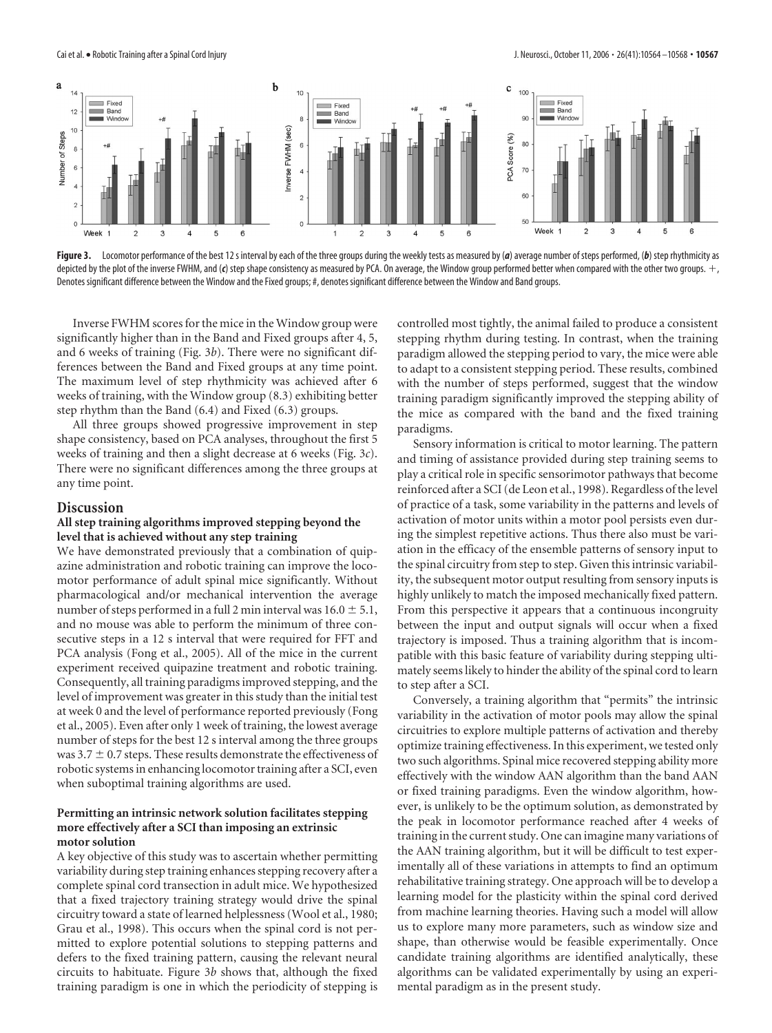

Figure 3. Locomotor performance of the best 12 s interval by each of the three groups during the weekly tests as measured by (*a*) average number of steps performed, (*b*) step rhythmicity as depicted by the plot of the inverse FWHM, and (*c*) step shape consistency as measured by PCA. On average, the Window group performed better when compared with the other two groups. +, Denotes significant difference between the Window and the Fixed groups; #, denotes significant difference between the Window and Band groups.

Inverse FWHM scores for the mice in the Window group were significantly higher than in the Band and Fixed groups after 4, 5, and 6 weeks of training (Fig. 3*b*). There were no significant differences between the Band and Fixed groups at any time point. The maximum level of step rhythmicity was achieved after 6 weeks of training, with the Window group (8.3) exhibiting better step rhythm than the Band (6.4) and Fixed (6.3) groups.

All three groups showed progressive improvement in step shape consistency, based on PCA analyses, throughout the first 5 weeks of training and then a slight decrease at 6 weeks (Fig. 3*c*). There were no significant differences among the three groups at any time point.

## **Discussion**

## **All step training algorithms improved stepping beyond the level that is achieved without any step training**

We have demonstrated previously that a combination of quipazine administration and robotic training can improve the locomotor performance of adult spinal mice significantly. Without pharmacological and/or mechanical intervention the average number of steps performed in a full 2 min interval was  $16.0 \pm 5.1$ , and no mouse was able to perform the minimum of three consecutive steps in a 12 s interval that were required for FFT and PCA analysis (Fong et al., 2005). All of the mice in the current experiment received quipazine treatment and robotic training. Consequently, all training paradigms improved stepping, and the level of improvement was greater in this study than the initial test at week 0 and the level of performance reported previously (Fong et al., 2005). Even after only 1 week of training, the lowest average number of steps for the best 12 s interval among the three groups was 3.7  $\pm$  0.7 steps. These results demonstrate the effectiveness of robotic systems in enhancing locomotor training after a SCI, even when suboptimal training algorithms are used.

## **Permitting an intrinsic network solution facilitates stepping more effectively after a SCI than imposing an extrinsic motor solution**

A key objective of this study was to ascertain whether permitting variability during step training enhances stepping recovery after a complete spinal cord transection in adult mice. We hypothesized that a fixed trajectory training strategy would drive the spinal circuitry toward a state of learned helplessness (Wool et al., 1980; Grau et al., 1998). This occurs when the spinal cord is not permitted to explore potential solutions to stepping patterns and defers to the fixed training pattern, causing the relevant neural circuits to habituate. Figure 3*b* shows that, although the fixed training paradigm is one in which the periodicity of stepping is controlled most tightly, the animal failed to produce a consistent stepping rhythm during testing. In contrast, when the training paradigm allowed the stepping period to vary, the mice were able to adapt to a consistent stepping period. These results, combined with the number of steps performed, suggest that the window training paradigm significantly improved the stepping ability of the mice as compared with the band and the fixed training paradigms.

Sensory information is critical to motor learning. The pattern and timing of assistance provided during step training seems to play a critical role in specific sensorimotor pathways that become reinforced after a SCI (de Leon et al., 1998). Regardless of the level of practice of a task, some variability in the patterns and levels of activation of motor units within a motor pool persists even during the simplest repetitive actions. Thus there also must be variation in the efficacy of the ensemble patterns of sensory input to the spinal circuitry from step to step. Given this intrinsic variability, the subsequent motor output resulting from sensory inputs is highly unlikely to match the imposed mechanically fixed pattern. From this perspective it appears that a continuous incongruity between the input and output signals will occur when a fixed trajectory is imposed. Thus a training algorithm that is incompatible with this basic feature of variability during stepping ultimately seems likely to hinder the ability of the spinal cord to learn to step after a SCI.

Conversely, a training algorithm that "permits" the intrinsic variability in the activation of motor pools may allow the spinal circuitries to explore multiple patterns of activation and thereby optimize training effectiveness. In this experiment, we tested only two such algorithms. Spinal mice recovered stepping ability more effectively with the window AAN algorithm than the band AAN or fixed training paradigms. Even the window algorithm, however, is unlikely to be the optimum solution, as demonstrated by the peak in locomotor performance reached after 4 weeks of training in the current study. One can imagine many variations of the AAN training algorithm, but it will be difficult to test experimentally all of these variations in attempts to find an optimum rehabilitative training strategy. One approach will be to develop a learning model for the plasticity within the spinal cord derived from machine learning theories. Having such a model will allow us to explore many more parameters, such as window size and shape, than otherwise would be feasible experimentally. Once candidate training algorithms are identified analytically, these algorithms can be validated experimentally by using an experimental paradigm as in the present study.